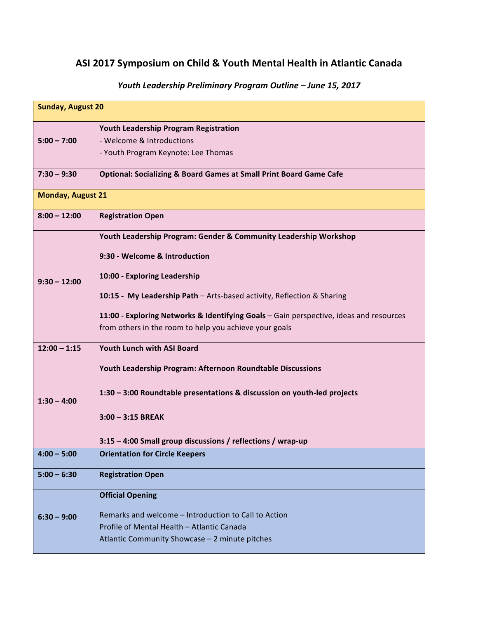## ASI 2017 Symposium on Child & Youth Mental Health in Atlantic Canada

| <b>Sunday, August 20</b> |                                                                                                                                                                                                                                                                                                                                                                 |  |
|--------------------------|-----------------------------------------------------------------------------------------------------------------------------------------------------------------------------------------------------------------------------------------------------------------------------------------------------------------------------------------------------------------|--|
| $5:00 - 7:00$            | Youth Leadership Program Registration<br>- Welcome & Introductions<br>- Youth Program Keynote: Lee Thomas                                                                                                                                                                                                                                                       |  |
| $7:30 - 9:30$            | <b>Optional: Socializing &amp; Board Games at Small Print Board Game Cafe</b>                                                                                                                                                                                                                                                                                   |  |
| <b>Monday, August 21</b> |                                                                                                                                                                                                                                                                                                                                                                 |  |
| $8:00 - 12:00$           | <b>Registration Open</b>                                                                                                                                                                                                                                                                                                                                        |  |
| $9:30 - 12:00$           | Youth Leadership Program: Gender & Community Leadership Workshop<br>9:30 - Welcome & Introduction<br>10:00 - Exploring Leadership<br>10:15 - My Leadership Path - Arts-based activity, Reflection & Sharing<br>11:00 - Exploring Networks & Identifying Goals - Gain perspective, ideas and resources<br>from others in the room to help you achieve your goals |  |
| $12:00 - 1:15$           | <b>Youth Lunch with ASI Board</b>                                                                                                                                                                                                                                                                                                                               |  |
| $1:30 - 4:00$            | Youth Leadership Program: Afternoon Roundtable Discussions<br>1:30 - 3:00 Roundtable presentations & discussion on youth-led projects<br>$3:00 - 3:15$ BREAK<br>3:15 - 4:00 Small group discussions / reflections / wrap-up                                                                                                                                     |  |
| $4:00 - 5:00$            | <b>Orientation for Circle Keepers</b>                                                                                                                                                                                                                                                                                                                           |  |
| $5:00 - 6:30$            | <b>Registration Open</b>                                                                                                                                                                                                                                                                                                                                        |  |
| $6:30 - 9:00$            | <b>Official Opening</b><br>Remarks and welcome – Introduction to Call to Action<br>Profile of Mental Health - Atlantic Canada<br>Atlantic Community Showcase - 2 minute pitches                                                                                                                                                                                 |  |

## *Youth Leadership Preliminary Program Outline – June 15, 2017*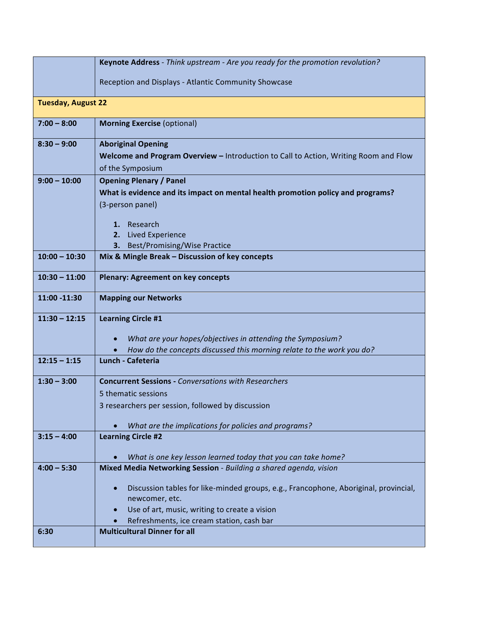|                           | Keynote Address - Think upstream - Are you ready for the promotion revolution?       |
|---------------------------|--------------------------------------------------------------------------------------|
|                           | Reception and Displays - Atlantic Community Showcase                                 |
|                           |                                                                                      |
| <b>Tuesday, August 22</b> |                                                                                      |
| $7:00 - 8:00$             | <b>Morning Exercise (optional)</b>                                                   |
| $8:30 - 9:00$             | <b>Aboriginal Opening</b>                                                            |
|                           | Welcome and Program Overview - Introduction to Call to Action, Writing Room and Flow |
|                           | of the Symposium                                                                     |
| $9:00 - 10:00$            | <b>Opening Plenary / Panel</b>                                                       |
|                           | What is evidence and its impact on mental health promotion policy and programs?      |
|                           | (3-person panel)                                                                     |
|                           | 1. Research                                                                          |
|                           | <b>Lived Experience</b><br>2.                                                        |
|                           | 3. Best/Promising/Wise Practice                                                      |
| $10:00 - 10:30$           | Mix & Mingle Break - Discussion of key concepts                                      |
| $10:30 - 11:00$           | <b>Plenary: Agreement on key concepts</b>                                            |
| 11:00 -11:30              | <b>Mapping our Networks</b>                                                          |
| $11:30 - 12:15$           | <b>Learning Circle #1</b>                                                            |
|                           | What are your hopes/objectives in attending the Symposium?                           |
|                           | How do the concepts discussed this morning relate to the work you do?                |
| $12:15 - 1:15$            | Lunch - Cafeteria                                                                    |
| $1:30 - 3:00$             | <b>Concurrent Sessions - Conversations with Researchers</b>                          |
|                           | 5 thematic sessions                                                                  |
|                           | 3 researchers per session, followed by discussion                                    |
|                           | What are the implications for policies and programs?                                 |
| $3:15 - 4:00$             | <b>Learning Circle #2</b>                                                            |
|                           |                                                                                      |
|                           | What is one key lesson learned today that you can take home?                         |
| $4:00 - 5:30$             | Mixed Media Networking Session - Building a shared agenda, vision                    |
|                           | Discussion tables for like-minded groups, e.g., Francophone, Aboriginal, provincial, |
|                           | newcomer, etc.                                                                       |
|                           | Use of art, music, writing to create a vision                                        |
|                           | Refreshments, ice cream station, cash bar                                            |
| 6:30                      | <b>Multicultural Dinner for all</b>                                                  |